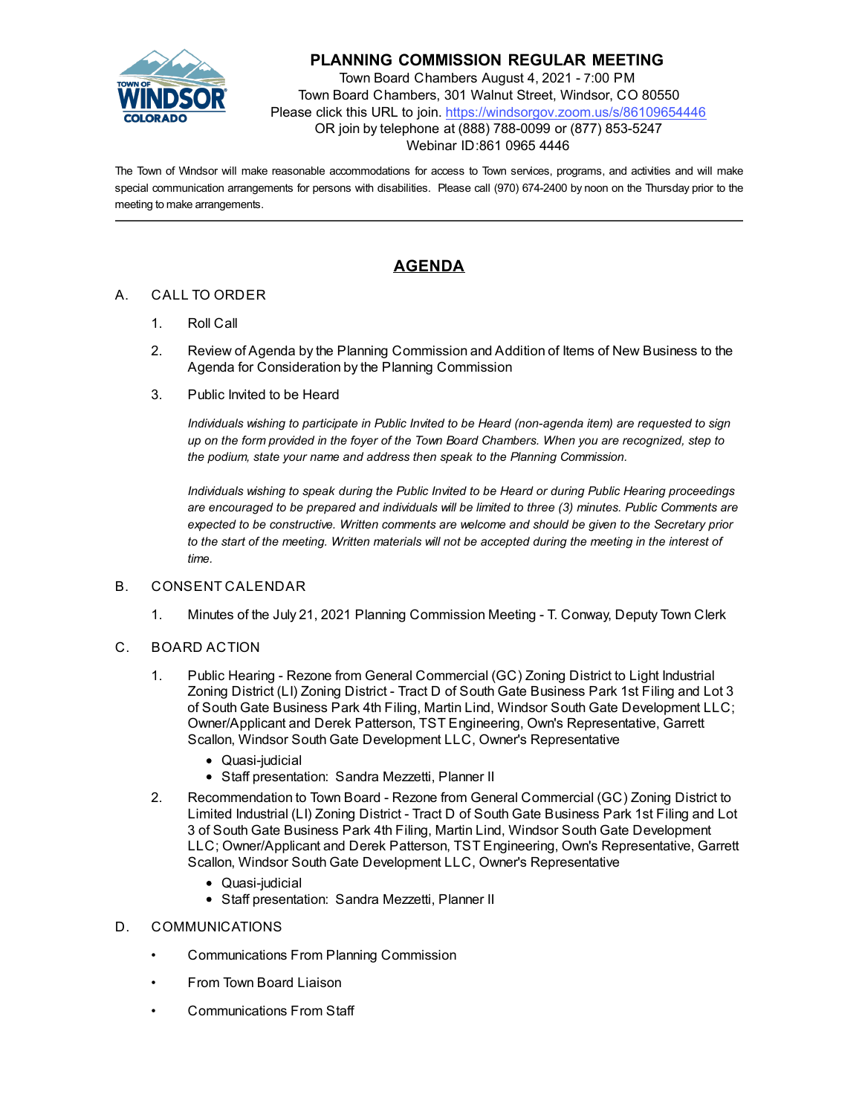

## **PLANNING COMMISSION REGULAR MEETING**

Town Board Chambers August 4, 2021 - 7:00 PM Town Board Chambers, 301 Walnut Street, Windsor, CO 80550 Please click this URL to join. https://windsorgov.zoom.us/s/86109654446 OR join by telephone at (888) 788-0099 or (877) 853-5247 Webinar ID:861 0965 4446

The Town of Windsor will make reasonable accommodations for access to Town services, programs, and activities and will make special communication arrangements for persons with disabilities. Please call (970) 674-2400 by noon on the Thursday prior to the meeting to make arrangements.

# **AGENDA**

## A. CALL TO ORDER

- 1. Roll Call
- 2. Review of Agenda by the Planning Commission and Addition of Items of New Business to the Agenda for Consideration by the Planning Commission
- 3. Public Invited to be Heard

*Individuals wishing to participate in Public Invited to be Heard (non-agenda item) are requested to sign up on the form provided in the foyer of the Town Board Chambers. When you are recognized, step to the podium, state your name and address then speak to the Planning Commission.*

*Individuals wishing to speak during the Public Invited to be Heard or during Public Hearing proceedings are encouraged to be prepared and individuals will be limited to three (3) minutes. Public Comments are expected to be constructive. Written comments are welcome and should be given to the Secretary prior to the start of the meeting. Written materials will not be accepted during the meeting in the interest of time.*

### B. CONSENT CALENDAR

1. [Minutes of the July 21, 2021 Planning Commission Meeting - T. Conway, Deputy Town Clerk](file:///C:/Windows/TEMP/CoverSheet.aspx?ItemID=1575&MeetingID=242)

### C. BOARD ACTION

- 1. [Public Hearing Rezone from General Commercial \(GC\) Zoning District to Light Industrial](file:///C:/Windows/TEMP/CoverSheet.aspx?ItemID=1563&MeetingID=242) Zoning District (LI) Zoning District - Tract D of South Gate Business Park 1st Filing and Lot 3 of South Gate Business Park 4th Filing, Martin Lind, Windsor South Gate Development LLC; Owner/Applicant and Derek Patterson, TST Engineering, Own's Representative, Garrett Scallon, Windsor South Gate Development LLC, Owner's Representative
	- Quasi-judicial
	- Staff presentation: Sandra Mezzetti, Planner II
- 2. [Recommendation to Town Board Rezone from General Commercial \(GC\) Zoning District to](file:///C:/Windows/TEMP/CoverSheet.aspx?ItemID=1570&MeetingID=242) Limited Industrial (LI) Zoning District - Tract D of South Gate Business Park 1st Filing and Lot 3 of South Gate Business Park 4th Filing, Martin Lind, Windsor South Gate Development LLC; Owner/Applicant and Derek Patterson, TST Engineering, Own's Representative, Garrett Scallon, Windsor South Gate Development LLC, Owner's Representative
	- Quasi-judicial
	- Staff presentation: Sandra Mezzetti, Planner II
- D. COMMUNICATIONS
	- Communications From Planning Commission
	- From Town Board Liaison
	- Communications From Staff